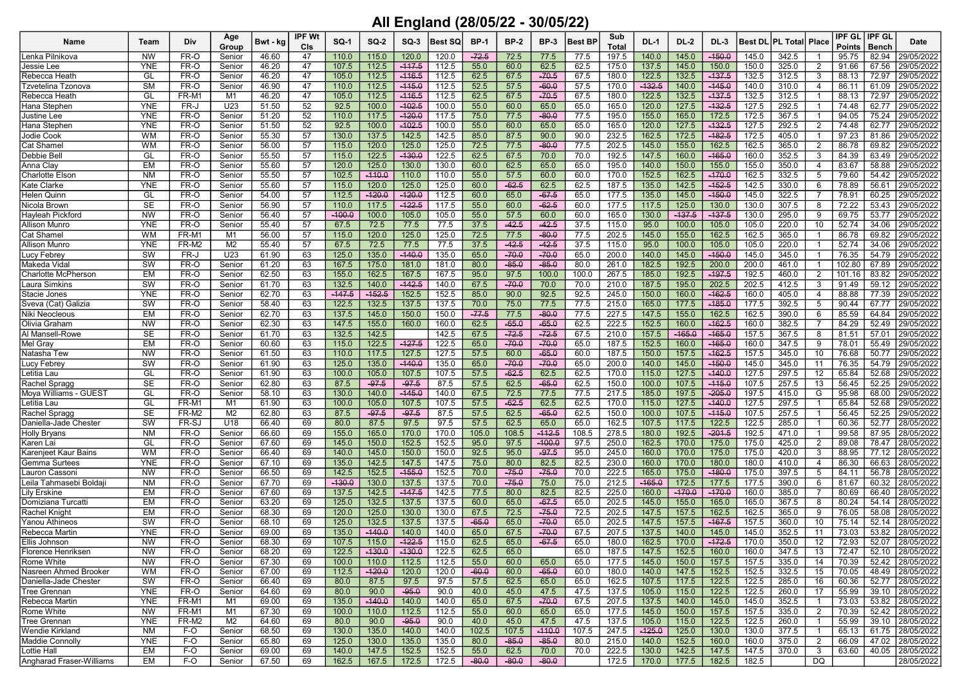## All England (28/05/22 - 30/05/22)

| Name                       | Team       | Div   | Age            | Bwt - kg | IPF Wt | <b>SQ-1</b> | $SO-2$   | $SO-3$   | Best SQ       | <b>BP-1</b> | <b>BP-2</b> | <b>BP-3</b> | <b>Best BP</b> | Sub          | <b>DL-1</b> | DL-2     | DL-3     |       | <b>Best DL PL Total Place</b> |                | IPF GL        | <b>IPF GL</b> | Date       |
|----------------------------|------------|-------|----------------|----------|--------|-------------|----------|----------|---------------|-------------|-------------|-------------|----------------|--------------|-------------|----------|----------|-------|-------------------------------|----------------|---------------|---------------|------------|
|                            |            |       | Group          |          | CIs    |             |          |          |               |             |             |             |                | <b>Total</b> |             |          |          |       |                               |                | <b>Points</b> | <b>Bench</b>  |            |
| Lenka Pilnikova            | <b>NW</b>  | FR-O  | Senior         | 46.60    | 47     | 110.0       | 115.0    | 120.0    | 120.0         | $-72.5$     | 72.5        | 77.5        | 77.5           | 197.5        | 140.0       | 145.0    | $-150.0$ | 145.0 | 342.5                         | -1             | 95.75         | 82.94         | 29/05/2022 |
| Jessie Lee                 | YNE        | FR-O  | Senior         | 46.20    | 47     | 107.5       | 112.5    | $-117.5$ | 112.5         | 55.0        | 60.0        | 62.5        | 62.5           | 175.0        | 137.5       | 145.0    | 150.0    | 150.0 | 325.0                         | 2              | 91.66         | 67.56         | 29/05/2022 |
| Rebecca Heath              | GL         | FR-O  | Senior         | 46.20    | 47     | 105.0       | 112.5    | $-116.5$ | 112.5         | 62.5        | 67.5        | $-70.5$     | 67.5           | 180.0        | 122.5       | 132.5    | $-137.5$ | 132.5 | 312.5                         | 3              | 88.13         | 72.97         | 29/05/2022 |
| Tzvetelina Tzonova         | <b>SM</b>  | FR-O  | Senior         | 46.90    | 47     | 110.0       | 112.5    | $-415.0$ | 112.5         | 52.5        | 57.5        | $-60.0$     | 57.5           | 170.0        | $-132.5$    | 140.0    | $-445.0$ | 140.0 | 310.0                         | 4              | 86.11         | 61.09         | 29/05/2022 |
| Rebecca Heath              | GL         | FR-M1 | M1             | 46.20    | 47     | 105.0       | 112.5    | $-116.5$ | 112.5         | 62.5        | 67.5        | $-70.5$     | 67.5           | 180.0        | 122.5       | 132.5    | $-137.5$ | 132.5 | 312.5                         |                | 88.13         | 72.97         | 29/05/2022 |
| Hana Stepher               | <b>YNE</b> | FR-J  | U23            | 51.50    | 52     | 92.5        | 100.0    | $-102.5$ | 100.0         | 55.0        | 60.0        | 65.0        | 65.0           | 165.0        | 120.0       | 127.5    | $-132.5$ | 127.5 | 292.5                         |                | 74.48         | 62.77         | 29/05/2022 |
| <b>Justine Lee</b>         | <b>YNE</b> | FR-O  | Senior         | 51.20    | 52     | 110.0       | 117.5    | $-120.0$ | 117.5         | 75.0        | 77.5        | $-80.0$     | 77.5           | 195.0        | 155.0       | 165.0    | 172.5    | 172.5 | 367.5                         |                | 94.05         | 75.24         | 29/05/2022 |
| Hana Stephen               | <b>YNE</b> | FR-O  | Senior         | 51.50    | 52     | 92.5        | 100.0    | $-102.5$ | 100.0         | 55.0        | 60.0        | 65.0        | 65.0           | 165.0        | 120.0       | 127.5    | $-132.5$ | 127.5 | 292.5                         | 2              | 74.48         | 62.77         | 29/05/2022 |
| Jodie Cook                 | <b>WM</b>  | FR-O  | Senior         | 55.30    | 57     | 130.0       | 137.5    | 142.5    | 142.5         | 85.0        | 87.5        | 90.0        | 90.0           | 232.5        | 162.5       | 172.5    | $-182.5$ | 172.5 | 405.0                         |                | 97.23         | 81.86         | 29/05/2022 |
| Cat Shame                  | <b>WM</b>  | FR-O  | Senior         | 56.00    | 57     | 115.0       | 120.0    | 125.0    | 125.0         | 72.5        | 77.5        | $-80.0$     | 77.5           | 202.5        | 145.0       | 155.0    | 162.5    | 162.5 | 365.0                         | $\overline{2}$ | 86.78         | 69.82         | 29/05/2022 |
| Debbie Bell                | GL         | FR-O  | Senior         | 55.50    | 57     | 115.0       | 122.5    | $-130.0$ | 122.5         | 62.5        | 67.5        | 70.0        | 70.0           | 192.5        | 147.5       | 160.0    | $-165.0$ | 160.0 | 352.5                         | -3             | 84.39         | 63.49         | 29/05/2022 |
| Anna Clay                  | <b>EM</b>  | FR-O  | Senior         | 55.60    | 57     | 120.0       | 125.0    | 130.0    | 130.0         | 60.0        | 62.5        | 65.0        | 65.0           | 195.0        | 140.0       | 150.0    | 155.0    | 155.0 | 350.0                         | $\overline{4}$ | 83.67         | 58.88         | 29/05/2022 |
| Charlotte Elson            | <b>NM</b>  | FR-O  | Senior         | 55.50    | 57     | 102.5       | $-110.0$ | 110.0    | 110.0         | 55.0        | 57.5        | 60.0        | 60.0           | 170.0        | 152.5       | 162.5    | $-470.0$ | 162.5 | 332.5                         | 5              | 79.60         | 54.42         | 29/05/2022 |
| Kate Clarke                | <b>YNE</b> | FR-O  | Senior         | 55.60    | 57     | 115.0       | 120.0    | 125.0    | 125.0         | 60.0        | $-62.5$     | 62.5        | 62.5           | 187.5        | 135.0       | 142.5    | $-152.5$ | 142.5 | 330.0                         | 6              | 78.89         | 56.61         | 29/05/2022 |
| <b>Helen Quinn</b>         | GL         | FR-O  | Senior         | 54.00    | 57     | 112.5       | $-120.0$ | $-120.0$ | 112.5         | 60.0        | 65.0        | $-67.5$     | 65.0           | 177.5        | 135.0       | 145.0    | $-450.0$ | 145.0 | 322.5                         |                | 78.91         | 60.25         | 29/05/2022 |
| Nicola Brown               | <b>SE</b>  | FR-O  | Senior         | 56.90    | 57     | 110.0       | 117.5    | $-122.5$ | 117.5         | 55.0        | 60.0        | $-62.5$     | 60.0           | 177.5        | 117.5       | 125.0    | 130.0    | 130.0 | 307.5                         | 8              | 72.22         | 53.43         | 29/05/2022 |
| Hayleah Pickford           | NW         | FR-O  | Senior         | 56.40    | 57     | $-100.0$    | 100.0    | 105.0    | 105.0         | 55.0        | 57.5        | 60.0        | 60.0           | 165.0        | 130.0       | $-137.5$ | $-137.5$ | 130.0 | 295.0                         | 9              | 69.75         | 53.77         | 29/05/2022 |
| <b>Allison Munro</b>       | <b>YNE</b> | FR-O  | Senior         | 55.40    | 57     | 67.5        | 72.5     | 77.5     | 77.5          | 37.5        | $-42.5$     | $-42.5$     | 37.5           | 115.0        | 95.0        | 100.0    | 105.0    | 105.0 | 220.0                         | 10             | 52.74         | 34.06         | 29/05/2022 |
| Cat Shame                  | <b>WM</b>  | FR-M1 | M1             | 56.00    | 57     | 115.0       | 120.0    | 125.0    | 125.0         | 72.5        | 77.5        | $-80.0$     | 77.5           | 202.5        | 145.0       | 155.0    | 162.5    | 162.5 | 365.0                         |                | 86.78         | 69.82         | 29/05/2022 |
|                            | <b>YNE</b> | FR-M2 | M <sub>2</sub> |          | 57     | 67.5        | 72.5     | 77.5     |               | 37.5        | $-42.5$     | $-42.5$     | 37.5           |              | 95.0        |          | 105.0    | 105.0 |                               |                | 52.74         | 34.06         | 29/05/2022 |
| Allison Munro              | SW         |       |                | 55.40    |        |             |          | $-440.0$ | 77.5<br>135.0 |             |             |             |                | 115.0        |             | 100.0    |          |       | 220.0                         |                |               |               |            |
| Lucy Febrey                |            | FR-J  | U23            | 61.90    | 63     | 125.0       | 135.0    |          |               | 65.0        | $-70.0$     | $-70.0$     | 65.0           | 200.0        | 140.0       | 145.0    | $-150.0$ | 145.0 | 345.0                         |                | 76.35         | 54.79         | 29/05/2022 |
| Makeda Vidal               | <b>SW</b>  | FR-O  | Senior         | 61.20    | 63     | 167.5       | 175.0    | 181.0    | 181.0         | 80.0        | $-85.0$     | $-85.0$     | 80.0           | 261.0        | 182.5       | 192.5    | 200.0    | 200.0 | 461.0                         |                | 102.80        | 67.89         | 29/05/2022 |
| <b>Charlotte McPhersor</b> | <b>EM</b>  | FR-O  | Senior         | 62.50    | 63     | 155.0       | 162.5    | 167.5    | 167.5         | 95.0        | 97.5        | 100.0       | 100.0          | 267.5        | 185.0       | 192.5    | $-197.5$ | 192.5 | 460.0                         | $\overline{2}$ | 101.16        | 83.82         | 29/05/2022 |
| Laura Simkins              | SW         | FR-O  | Senior         | 61.70    | 63     | 132.5       | 140.0    | $-142.5$ | 140.0         | 67.5        | $-70.0$     | 70.0        | 70.0           | 210.0        | 187.5       | 195.0    | 202.5    | 202.5 | 412.5                         | 3              | 91.49         | 59.12         | 29/05/2022 |
| Stacie Jones               | <b>YNE</b> | FR-O  | Senior         | 62.70    | 63     | $-147.5$    | $-152.5$ | 152.5    | 152.5         | 85.0        | 90.0        | 92.5        | 92.5           | 245.0        | 150.0       | 160.0    | $-162.5$ | 160.0 | 405.0                         | 4              | 88.88         | 77.39         | 29/05/2022 |
| Sveva (Cat) Galizia        | SW         | FR-O  | Senior         | 58.40    | 63     | 122.5       | 132.5    | 137.5    | 137.5         | 70.0        | 75.0        | 77.5        | 77.5           | 215.0        | 165.0       | 177.5    | $-185.0$ | 177.5 | 392.5                         | 5              | 90.44         | 67.77         | 29/05/2022 |
| Niki Neocleous             | EM         | FR-O  | Senior         | 62.70    | 63     | 137.5       | 145.0    | 150.0    | 150.0         | $-77.5$     | 77.5        | $-80.0$     | 77.5           | 227.5        | 147.5       | 155.0    | 162.5    | 162.5 | 390.0                         | -6             | 85.59         | 64.84         | 29/05/2022 |
| Olivia Graham              | <b>NW</b>  | FR-O  | Senior         | 62.30    | 63     | 147.5       | 155.0    | 160.0    | 160.0         | 62.5        | $-65.0$     | $-65.0$     | 62.5           | 222.5        | 152.5       | 160.0    | $-162.5$ | 160.0 | 382.5                         |                | 84.29         | 52.49         | 29/05/2022 |
| Al Mansell-Rowe            | <b>SE</b>  | FR-O  | Senior         | 61.70    | 63     | 132.5       | 142.5    |          | 142.5         | 67.5        | $-72.5$     | $-72.5$     | 67.5           | 210.0        | 157.5       | $-165.0$ | $-165.0$ | 157.5 | 367.5                         | 8              | 81.51         | 57.01         | 29/05/2022 |
| Mel Gray                   | <b>EM</b>  | FR-O  | Senior         | 60.60    | 63     | 115.0       | 122.5    | $-127.5$ | 122.5         | 65.0        | $-70.0$     | $-70.0$     | 65.0           | 187.5        | 152.5       | 160.0    | $-165.0$ | 160.0 | 347.5                         | 9              | 78.01         | 55.49         | 29/05/2022 |
| Natasha Tew                | <b>NW</b>  | FR-O  | Senior         | 61.50    | 63     | 110.0       | 117.5    | 127.5    | 127.5         | 57.5        | 60.0        | $-65.0$     | 60.0           | 187.5        | 150.0       | 157.5    | $-162.5$ | 157.5 | 345.0                         | 10             | 76.68         | 50.77         | 29/05/2022 |
| Lucy Febrey                | <b>SW</b>  | FR-O  | Senior         | 61.90    | 63     | 125.0       | 135.0    | $-140.0$ | 135.0         | 65.0        | $-70.0$     | $-70.0$     | 65.0           | 200.0        | 140.0       | 145.0    | $-150.0$ | 145.0 | 345.0                         | 11             | 76.35         | 54.79         | 29/05/2022 |
| Letitia Lau                | GL         | FR-O  | Senior         | 61.90    | 63     | 100.0       | 105.0    | 107.5    | 107.5         | 57.5        | $-62.5$     | 62.5        | 62.5           | 170.0        | 115.0       | 127.5    | $-140.0$ | 127.5 | 297.5                         | 12             | 65.84         | 52.68         | 29/05/2022 |
| Rachel Spragg              | <b>SE</b>  | FR-O  | Senior         | 62.80    | 63     | 87.5        | $-97.5$  | $-97.5$  | 87.5          | 57.5        | 62.5        | $-65.0$     | 62.5           | 150.0        | 100.0       | 107.5    | $-115.0$ | 107.5 | 257.5                         | 13             | 56.45         | 52.25         | 29/05/2022 |
| Moya Williams - GUEST      | GL         | FR-O  | Senior         | 58.10    | 63     | 130.0       | 140.0    | $-145.0$ | 140.0         | 67.5        | 72.5        | 77.5        | 77.5           | 217.5        | 185.0       | 197.5    | $-205.0$ | 197.5 | 415.0                         | G              | 95.98         | 68.00         | 29/05/2022 |
| Letitia Lau                | GL         | FR-M1 | M1             | 61.90    | 63     | 100.0       | 105.0    | 107.5    | 107.5         | 57.5        | $-62.5$     | 62.5        | 62.5           | 170.0        | 115.0       | 127.5    | $-140.0$ | 127.5 | 297.5                         |                | 65.84         | 52.68         | 29/05/2022 |
| Rachel Spragg              | <b>SE</b>  | FR-M2 | M <sub>2</sub> | 62.80    | 63     | 87.5        | $-97.5$  | $-97.5$  | 87.5          | 57.5        | 62.5        | $-65.0$     | 62.5           | 150.0        | 100.0       | 107.5    | $-115.0$ | 107.5 | 257.5                         |                | 56.45         | 52.25         | 29/05/2022 |
| Daniella-Jade Chester      | <b>SW</b>  | FR-SJ | U18            | 66.40    | 69     | 80.0        | 87.5     | 97.5     | 97.5          | 57.5        | 62.5        | 65.0        | 65.0           | 162.5        | 107.5       | 117.5    | 122.5    | 122.5 | 285.0                         |                | 60.36         | 52.77         | 28/05/2022 |
| <b>Holly Bryans</b>        | <b>NM</b>  | FR-O  | Senior         | 66.60    | 69     | 155.0       | 165.0    | 170.0    | 170.0         | 105.0       | 108.5       | $-112.5$    | 108.5          | 278.5        | 180.0       | 192.5    | $-201.5$ | 192.5 | 471.0                         |                | 99.58         | 87.95         | 28/05/2022 |
| Karen Lai                  | GL         | FR-O  | Senior         | 67.60    | 69     | 145.0       | 150.0    | 152.5    | 152.5         | 95.0        | 97.5        | $-100.0$    | 97.5           | 250.0        | 162.5       | 170.0    | 175.0    | 175.0 | 425.0                         | $\overline{2}$ | 89.08         | 78.47         | 28/05/2022 |
| Karenjeet Kaur Bains       | <b>WM</b>  | FR-O  | Senior         | 66.40    | 69     | 140.0       | 145.0    | 150.0    | 150.0         | 92.5        | 95.0        | $-97.5$     | 95.0           | 245.0        | 160.0       | 170.0    | 175.0    | 175.0 | 420.0                         | 3              | 88.95         | 77.12         | 28/05/2022 |
| Gemma Surtees              | <b>YNE</b> | FR-O  | Senior         | 67.10    | 69     | 135.0       | 142.5    | 147.5    | 147.5         | 75.0        | 80.0        | 82.5        | 82.5           | 230.0        | 160.0       | 170.0    | 180.0    | 180.0 | 410.0                         | $\overline{4}$ | 86.30         | 66.63         | 28/05/2022 |
| Lauron Cassoni             | <b>NW</b>  | FR-O  | Senior         | 66.50    | 69     | 142.5       | 152.5    | $-155.0$ | 152.5         | 70.0        | $-75.0$     | $-75.0$     | 70.0           | 222.5        | 165.0       | 175.0    | $-180.0$ | 175.0 | 397.5                         | 5              | 84.11         | 56.78         | 28/05/2022 |
| Leila Tahmasebi Boldaj     | <b>NM</b>  | FR-O  | Senior         | 67.70    | 69     | $-130.0$    | 130.0    | 137.5    | 137.5         | 70.0        | $-75.0$     | 75.0        | 75.0           | 212.5        | $-165.0$    | 172.5    | 177.5    | 177.5 | 390.0                         | 6              | 81.67         | 60.32         | 28/05/2022 |
| <b>Lily Erskine</b>        | EM         | FR-O  | Senior         | 67.60    | 69     | 137.5       | 142.5    | $-147.5$ | 142.5         | 77.5        | 80.0        | 82.5        | 82.5           | 225.0        | 160.0       | $-170.0$ | $-470.0$ | 160.0 | 385.0                         |                | 80.69         | 66.40         | 28/05/2022 |
| Domiziana Turcatti         | <b>EM</b>  | FR-O  | Senior         | 63.20    | 69     | 125.0       | 132.5    | 137.5    | 137.5         | 60.0        | 65.0        | $-67.5$     | 65.0           | 202.5        | 145.0       | 155.0    | 165.0    | 165.0 | 367.5                         | 8              | 80.24         | 54.14         | 28/05/2022 |
| Rachel Knigh               | <b>EM</b>  | FR-O  | Senior         | 68.30    | 69     | 120.0       | 125.0    | 130.0    | 130.0         | 67.5        | 72.5        | $-75.0$     | 72.5           | 202.5        | 147.5       | 157.5    | 162.5    | 162.5 | 365.0                         | 9              | 76.05         | 58.08         | 28/05/2022 |
| <b>Yanou Athineos</b>      | SW         | FR-O  | Senior         | 68.10    | 69     | 125.0       | 132.5    | 137.5    | 137.5         | $-65.0$     | 65.0        | $-70.0$     | 65.0           | 202.5        | 147.5       | 157.5    | $-167.5$ | 157.5 | 360.0                         | 10             | 75.14         | 52.14         | 28/05/2022 |
| Rebecca Martin             | <b>YNE</b> | FR-O  | Senior         | 69.00    | 69     | 135.0       | $-140.0$ | 140.0    | 140.0         | 65.0        | 67.5        | $-70.0$     | 67.5           | 207.5        | 137.5       | 140.0    | 145.0    | 145.0 | 352.5                         | 11             | 73.03         | 53.82         | 28/05/2022 |
| Ellis Johnson              | NW         | FR-O  | Senior         | 68.30    | 69     | 107.5       | 115.0    | $-122.5$ | 115.0         | 62.5        | 65.0        | $-67.5$     | 65.0           | 180.0        | 162.5       | 170.0    | $-172.5$ | 170.0 | 350.0                         | 12             | 72.93         | 52.07         | 28/05/2022 |
|                            |            |       |                |          |        |             |          |          |               |             |             |             |                |              |             |          |          |       |                               |                |               |               |            |
| Florence Henriksen         | <b>NW</b>  | FR-O  | Senior         | 68.20    | 69     | 122.5       | $-130.0$ | $-430.0$ | 122.5         | 62.5        | 65.0        |             | 65.0           | 187.5        | 147.5       | 152.5    | 160.0    | 160.0 | 347.5                         | 13             | 72.47         | 52.10         | 28/05/2022 |
| Rome White                 | <b>NW</b>  | FR-O  | Senior         | 67.30    | 69     | 100.0       | 110.0    | 112.5    | 112.5         | 55.0        | 60.0        | 65.0        | 65.0           | 177.5        | 145.0       | 150.0    | 157.5    | 157.5 | 335.0                         | 14             | 70.39         | 52.42         | 28/05/2022 |
| Nasreen Ahmed Brooker      | <b>WM</b>  | FR-O  | Senior         | 67.00    | 69     | 112.5       | $-120.0$ | 120.0    | 120.0         | $-60.0$     | 60.0        | $-65.0$     | 60.0           | 180.0        | 140.0       | 147.5    | 152.5    | 152.5 | 332.5                         | 15             | 70.05         | 48.49         | 28/05/2022 |
| Daniella-Jade Chester      | SW         | FR-O  | Senior         | 66.40    | 69     | 80.0        | 87.5     | 97.5     | 97.5          | 57.5        | 62.5        | 65.0        | 65.0           | 162.5        | 107.5       | 117.5    | 122.5    | 122.5 | 285.0                         | 16             | 60.36         | 52.77         | 28/05/2022 |
| <b>Tree Grennan</b>        | <b>YNE</b> | FR-O  | Senior         | 64.60    | 69     | 80.0        | 90.0     | $-95.0$  | 90.0          | 40.0        | 45.0        | 47.5        | 47.5           | 137.5        | 105.0       | 115.0    | 122.5    | 122.5 | 260.0                         | 17             | 55.99         | 39.10         | 28/05/2022 |
| Rebecca Martin             | <b>YNE</b> | FR-M1 | M1             | 69.00    | 69     | 135.0       | $-140.0$ | 140.0    | 140.0         | 65.0        | 67.5        | $-70.0$     | 67.5           | 207.5        | 137.5       | 140.0    | 145.0    | 145.0 | 352.5                         | $\overline{1}$ | 73.03         | 53.82         | 28/05/2022 |
| Rome White                 | <b>NW</b>  | FR-M1 | M1             | 67.30    | 69     | 100.0       | 110.0    | 112.5    | 112.5         | 55.0        | 60.0        | 65.0        | 65.0           | 177.5        | 145.0       | 150.0    | 157.5    | 157.5 | 335.0                         | $\overline{2}$ | 70.39         | 52.42         | 28/05/2022 |
| <b>Tree Grennan</b>        | <b>YNE</b> | FR-M2 | M <sub>2</sub> | 64.60    | 69     | 80.0        | 90.0     | $-95.0$  | 90.0          | 40.0        | 45.0        | 47.5        | 47.5           | 137.5        | 105.0       | 115.0    | 122.5    | 122.5 | 260.0                         | $\overline{1}$ | 55.99         | 39.10         | 28/05/2022 |
| <b>Wendie Kirkland</b>     | <b>NM</b>  | F-O   | Senior         | 68.50    | 69     | 130.0       | 135.0    | 140.0    | 140.0         | 102.5       | 107.5       | $-110.0$    | 107.5          | 247.5        | $-125.0$    | 125.0    | 130.0    | 130.0 | 377.5                         | -1             | 65.13         | 61.75         | 28/05/2022 |
| <b>Maddie Connolly</b>     | <b>YNE</b> | F-O   | Senior         | 65.80    | 69     | 125.0       | 130.0    | 135.0    | 135.0         | 80.0        | $-85.0$     | $-85.0$     | 80.0           | 215.0        | 140.0       | 152.5    | 160.0    | 160.0 | 375.0                         | $\overline{2}$ | 66.09         | 47.02         | 28/05/2022 |
| Lottie Hall                | EM         | F-O   | Senior         | 69.00    | 69     | 140.0       | 147.5    | 152.5    | 152.5         | 55.0        | 62.5        | 70.0        | 70.0           | 222.5        | 130.0       | 142.5    | 147.5    | 147.5 | 370.0                         | $\mathbf{3}$   | 63.60         | 40.05         | 28/05/2022 |
| Angharad Fraser-Williams   | EM         | F-O   | Senior         | 67.50    | 69     | 162.5       | 167.5    | 172.5    | 172.5         | $-80.0$     | $-80.0$     | $-80.0$     |                | 172.5        | 170.0       | 177.5    | 182.5    | 182.5 |                               | DG             |               |               | 28/05/2022 |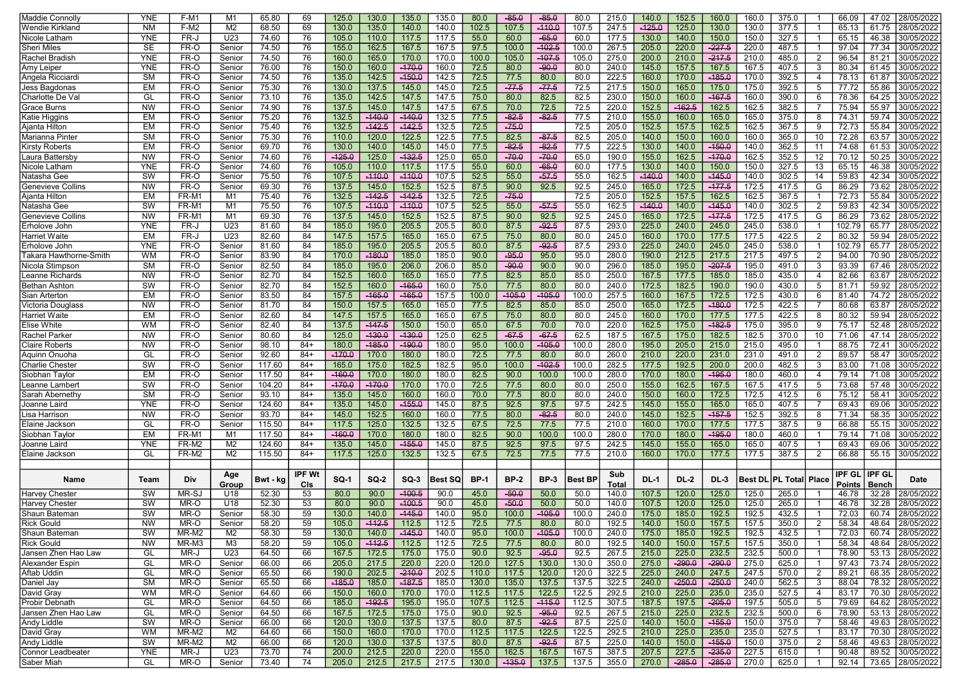| Maddie Connoll <sup>,</sup>             | YNE        | $F-M1$         | M <sub>1</sub>                   | 65.80            | 69             | 125.0             | 130.0          | 135.0    | 135.0          | 80.0         | $-85.0$      | $-85.0$     | 80.0          | 215.0          | 140.0       | 152.5          | 160.0                | 160.0          | 375.0           |                | 66.09          | 47.02         | 28/05/2022                           |
|-----------------------------------------|------------|----------------|----------------------------------|------------------|----------------|-------------------|----------------|----------|----------------|--------------|--------------|-------------|---------------|----------------|-------------|----------------|----------------------|----------------|-----------------|----------------|----------------|---------------|--------------------------------------|
| Wendie Kirkland                         | <b>NM</b>  | F-M2           | M <sub>2</sub>                   | 68.50            | 69             | 130.0             | 135.0          | 140.0    | 140.0          | 102.5        | 107.5        | $-110.0$    | 107.5         | 247.5          | $-125.0$    | 125.0          | 130.0                | 130.0          | 377.5           |                | 65.13          | 61.75         | 28/05/2022                           |
| Nicole Latham                           | YNE        | FR-J           | U23                              | 74.60            | 76             | 105.0             | 110.0          | 117.5    | 117.5          | 55.0         | 60.0         | $-65.0$     | 60.0          | 177.5          | 130.0       | 140.0          | 150.0                | 150.0          | 327.5           |                | 65.15          | 46.38         | 30/05/2022                           |
| Sheri Miles                             | <b>SE</b>  | FR-O           | Senior                           | 74.50            | 76             | 155.0             | 162.5          | 167.5    | 167.5          | 97.5         | 100.0        | $-102.5$    | 100.0         | 267.5          | 205.0       | 220.0          | $-227.5$             | 220.0          | 487.5           |                | 97.04          | 77.34         | 30/05/2022                           |
| Rachel Bradish                          | YNE        | FR-O           | Senior                           | 74.50            | 76             | 160.0             | 165.0          | 170.0    | 170.0          | 100.0        | 105.0        | $-107.5$    | 105.0         | 275.0          | 200.0       | 210.0          | $-217.5$             | 210.0          | 485.0           | 2              | 96.54          | 81.21         | 30/05/2022                           |
| Amy Leiper                              | <b>YNE</b> | FR-O           | Senior                           | 76.00            | 76             | 150.0             | 160.0          | $-170.0$ | 160.0          | 72.5         | 80.0         | $-90.0$     | 80.0          | 240.0          | 145.0       | 157.5          | 167.5                | 167.5          | 407.5           | 3              | 80.34          | 61.45         | 30/05/2022                           |
| Angela Ricciardi                        | <b>SM</b>  | FR-O           | Senior                           | 74.50            | 76             | 135.0             | 142.5          | $-150.0$ | 142.5          | 72.5         | 77.5         | 80.0        | 80.0          | 222.5          | 160.0       | 170.0          | $-185.0$             | 170.0          | 392.5           | $\overline{4}$ | 78.13          | 61.87         | 30/05/2022                           |
| Jess Bagdonas                           | EM         | FR-O           | Senior                           | 75.30            | 76             | 130.0             | 137.5          | 145.0    | 145.0          | 72.5         | $-77.5$      | $-77.5$     | 72.5          | 217.5          | 150.0       | 165.0          | 175.0                | 175.0          | 392.5           | 5              | 77.72          | 55.86         | 30/05/2022                           |
| Charlotte De Va                         | GL         | FR-O           | Senior                           | 73.10            | 76             | 135.0             | 142.5          | 147.5    | 147.5          | 75.0         | 80.0         | 82.5        | 82.5          | 230.0          | 150.0       | 160.0          | $-167.5$             | 160.0          | 390.0           | 6              | 78.36          | 64.25         | 30/05/2022                           |
| <b>Grace Burns</b>                      | <b>NW</b>  | FR-O           | Senior                           | 74.90            | 76             | 137.5             | 145.0          | 147.5    | 147.5          | 67.5         | 70.0         | 72.5        | 72.5          | 220.0          | 152.5       | $-162.5$       | 162.5                | 162.5          | 382.5           |                | 75.94          | 55.97         | 30/05/2022                           |
| Katie Higgins                           | EM         | FR-O           | Senior                           | 75.20            | 76             | 132.5             | $-140.0$       | $-140.0$ | 132.5          | 77.5         | $-82.5$      | $-82.5$     | 77.5          | 210.0          | 155.0       | 160.0          | 165.0                | 165.0          | 375.0           | 8              | 74.31          | 59.74         | 30/05/2022                           |
| Ajanta Hilton                           | EM         | FR-O           | Senior                           | 75.40            | 76             | 132.5             | $-142.5$       | $-142.5$ | 132.5          | 72.5         | $-75.0$      |             | 72.5          | 205.0          | 152.5       | 157.5          | 162.5                | 162.5          | 367.5           | -9             | 72.73          | 55.84         | 30/05/2022                           |
| Marianna Pinte                          | <b>SM</b>  | FR-O           | Senior                           | 75.30            | 76             | 110.0             | 120.0          | 122.5    | 122.5          | 77.5         | 82.5         | $-87.5$     | 82.5          | 205.0          | 140.0       | 150.0          | 160.0                | 160.0          | 365.0           | 10             | 72.28          | 63.57         | 30/05/2022                           |
| Kirsty Roberts                          | EM         | FR-O           | Senior                           | 69.70            | 76             | 130.0             | 140.0          | 145.0    | 145.0          | 77.5         | $-82.5$      | $-82.5$     | 77.5          | 222.5          | 130.0       | 140.0          | $-150.0$             | 140.0          | 362.5           | 11             | 74.68          | 61.53         | 30/05/2022                           |
| Laura Battersby                         | <b>NW</b>  | FR-O           | Senior                           | 74.60            | 76             | $-125.0$          | 125.0          | $-132.5$ | 125.0          | 65.0         | $-70.0$      | $-70.0$     | 65.0          | 190.0          | 155.0       | 162.5          | $-170.0$             | 162.5          | 352.5           | 12             | 70.12          | 50.25         | 30/05/2022                           |
| Nicole Latham                           | YNE        | FR-O           | Senior                           | 74.60            | 76             | 105.0             | 110.0          | 117.5    | 117.5          | 55.0         | 60.0         | $-65.0$     | 60.0          | 177.5          | 130.0       | 140.0          | 150.0                | 150.0          | 327.5           | 13             | 65.15          | 46.38         | 30/05/2022                           |
| Natasha Gee                             | SW         | FR-O           | Senior                           | 75.50            | 76             | 107.5             | $-110.0$       | $-110.0$ | 107.5          | 52.5         | 55.0         | $-57.5$     | 55.0          | 162.5          | $-140.0$    | 140.0          | $-145.0$             | 140.0          | 302.5           | 14             | 59.83          | 42.34         | 30/05/2022                           |
| <b>Genevieve Collins</b>                | <b>NW</b>  | FR-O           | Senior                           | 69.30            | 76             | 137.5             | 145.0          | 152.5    | 152.5          | 87.5         | 90.0         | 92.5        | 92.5          | 245.0          | 165.0       | 172.5          | $-177.5$             | 172.5          | 417.5           | G              | 86.29          | 73.62         | 28/05/2022                           |
| Ajanta Hilton                           | EM         | FR-M1          | M <sub>1</sub>                   | 75.40            | 76             | 132.5             | $-142.5$       | $-142.5$ | 132.5          | 72.5         | $-75.0$      |             | 72.5          | 205.0          | 152.5       | 157.5          | 162.5                | 162.5          | 367.5           |                | 72.73          | 55.84         | 30/05/2022                           |
| Natasha Gee                             | SW         | FR-M1          | M1                               | 75.50            | 76             | 107.5             | $-110.0$       | $-110.0$ | 107.5          | 52.5         | 55.0         | $-57.5$     | 55.0          | 162.5          | $-140.0$    | 140.0          | $-145.0$             | 140.0          | 302.5           | $\overline{2}$ | 59.83          | 42.34         | 30/05/2022                           |
| Genevieve Collins                       | <b>NW</b>  | FR-M1          | M1                               | 69.30            | 76             | 137.5             | 145.0          | 152.5    | 152.5          | 87.5         | 90.0         | 92.5        | 92.5          | 245.0          | 165.0       | 172.5          | $-177.5$             | 172.5          | 417.5           | G              | 86.29          | 73.62         | 28/05/2022                           |
| Erholove Johr                           | YNE        | FR-J           | U23                              | 81.60            | 84             | 185.0             | 195.0          | 205.5    | 205.5          | 80.0         | 87.5         | $-92.5$     | 87.5          | 293.0          | 225.0       | 240.0          | 245.0                | 245.0          | 538.0           |                | 102.79         | 65.77         | 28/05/2022                           |
| Harriet Waite                           | EM         | FR-J           | U23                              | 82.60            | 84             | 147.5             | 157.5          | 165.0    | 165.0          | 67.5         | 75.0         | 80.0        | 80.0          | 245.0          | 160.0       | 170.0          | 177.5                | 177.5          | 422.5           | $\overline{2}$ | 80.32          | 59.94         | 28/05/2022                           |
| Erholove John                           | YNE        | FR-O           | Senior                           | 81.60            | 84             | 185.0             | 195.0          | 205.5    | 205.5          | 80.0         | 87.5         | $-92.5$     | 87.5          | 293.0          | 225.0       | 240.0          | 245.0                | 245.0          | 538.0           | -1             | 102.79         | 65.77         | 28/05/2022                           |
| Takara Hawthorne-Smith                  | WM         | FR-O           | Senior                           | 83.90            | 84             | 170.0             | $-180.0$       | 185.0    | 185.0          | 90.0         | $-95.0$      | 95.0        | 95.0          | 280.0          | 190.0       | 212.5          | 217.5                | 217.5          | 497.5           | $\overline{2}$ | 94.00          | 70.90         | 28/05/2022                           |
| Nicola Stimpson                         | <b>SM</b>  | FR-O           | Senior                           | 82.50            | 84             | 185.0             | 195.0          | 206.0    | 206.0          | 85.0         | $-90.0$      | 90.0        | 90.0          | 296.0          | 185.0       | 195.0          | $-207.5$             | 195.0          | 491.0           | 3              | 93.39          | 67.46         | 28/05/2022                           |
| Leanne Richards                         | <b>NW</b>  | FR-O           | Senior                           | 82.70            | 84             | 152.5             | 160.0          | 165.0    | 165.0          | 77.5         | 82.5         | 85.0        | 85.0          | 250.0          | 167.5       | 177.5          | 185.0                | 185.0          | 435.0           | 4              | 82.66          | 63.67         | 28/05/2022                           |
| <b>Bethan Ashton</b>                    | SW         | FR-O           | Senior                           | 82.70            | 84             | 152.5             | 160.0          | $-165.0$ | 160.0          | 75.0         | 77.5         | 80.0        | 80.0          | 240.0          | 172.5       | 182.5          | 190.0                | 190.0          | 430.0           | 5              | 81.71          | 59.92         | 28/05/2022                           |
| Sian Arterton                           | EM         | FR-O           | Senior                           | 83.50            | 84             | 157.5             | $-165.0$       | $-165.0$ | 157.5          | 100.0        | $-105.0$     | $-105.0$    | 100.0         | 257.5          | 160.0       | 167.5          | 172.5                | 172.5          | 430.0           | 6              | 81.40          | 74.72         | 28/05/2022                           |
| Victoria Douglass                       | <b>NW</b>  | FR-O           | Senior                           | 81.70            | 84             | 150.0             | 157.5          | 165.0    | 165.0          | 77.5         | 82.5         | 85.0        | 85.0          | 250.0          | 165.0       | 172.5          | $-180.0$             | 172.5          | 422.5           | -7             | 80.68          | 63.87         | 28/05/2022                           |
| Harriet Waite                           | EM         | FR-O           | Senior                           | 82.60            | 84             | 147.5             | 157.5          | 165.0    | 165.0          | 67.5         | 75.0         | 80.0        | 80.0          | 245.0          | 160.0       | 170.0          | 177.5                | 177.5          | 422.5           | 8              | 80.32          | 59.94         | 28/05/2022                           |
| Elise White                             | <b>WM</b>  | FR-O           | Senior                           | 82.40            | 84             | 137.5             | $-147.5$       | 150.0    | 150.0          | 65.0         | 67.5         | 70.0        | 70.0          | 220.0          | 162.5       | 175.0          | $-182.5$             | 175.0          | 395.0           | -9             | 75.17          | 52.48         | 28/05/2022                           |
| Rachel Parkeı                           | <b>NW</b>  | FR-O           | Senior                           | 80.60            | 84             | 125.0             | $-130.0$       | $-130.0$ | 125.0          | 62.5         | $-67.5$      | $-67.5$     | 62.5          | 187.5          | 167.5       | 175.0          | 182.5                | 182.5          | 370.0           | 10             | 71.06          | 47.14         | 28/05/2022                           |
| Claire Roberts                          | <b>NW</b>  | FR-O           | Senior                           | 98.10            | $84+$          | 180.0             | $-185.0$       | $-190.0$ | 180.0          | 95.0         | 100.0        | $-105.0$    | 100.0         | 280.0          | 195.0       | 205.0          | 215.0                | 215.0          | 495.0           |                | 88.75          | 72.41         | 30/05/2022                           |
| Aquinn Onuoha                           | GL         | FR-O           | Senior                           | 92.60            | $84+$          | $-170.0$          | 170.0          | 180.0    | 180.0          | 72.5         | 77.5         | 80.0        | 80.0          | 260.0          | 210.0       | 220.0          | 231.0                | 231.0          | 491.0           | $\overline{2}$ | 89.57          | 58.47         | 30/05/2022                           |
| Charlie Cheste                          | SW         | FR-O           | Senior                           | 117.60           | $84+$          | 165.0             | 175.0          | 182.5    | 182.5          | 95.0         | 100.0        | $-102.5$    | 100.0         | 282.5          | 177.5       | 192.5          | 200.0                | 200.0          | 482.5           | 3              | 83.00          | 71.08         | 30/05/2022                           |
| Siobhan Taylor                          | <b>EM</b>  | FR-O           | Senior                           | 117.50           | $84+$          | $-160.0$          | 170.0          | 180.0    | 180.0          | 82.5         | 90.0         | 100.0       | 100.0         | 280.0          | 170.0       | 180.0          | $-195.0$             | 180.0          | 460.0           | 4              | 79.14          | 71.08         | 30/05/2022                           |
| Leanne Lamber                           | SW         | FR-O           | Senior                           | 104.20           | $84+$          | $-170.0$          | $-170.0$       | 170.0    | 170.0          | 72.5         | 77.5         | 80.0        | 80.0          | 250.0          | 155.0       | 162.5          | 167.5                | 167.5          | 417.5           | -5             | 73.68          | 57.48         | 30/05/2022                           |
| Sarah Abernethy                         | <b>SM</b>  | FR-O           | Senior                           | 93.10            | $84+$          | 135.0             | 145.0          | 160.0    | 160.0          | 70.0         | 77.5         | 80.0        | 80.0          | 240.0          | 150.0       | 160.0          | 172.5                | 172.5          | 412.5           | 6              | 75.12          | 58.41         | 30/05/2022                           |
| Joanne Laird                            | <b>YNE</b> | FR-O           | Senior                           | 124.60           | $84+$          | 135.0             | 145.0          | $-155.0$ | 145.0          | 87.5         | 92.5         | 97.5        | 97.5          | 242.5          | 145.0       | 155.0          | 165.0                | 165.0          | 407.5           |                | 69.43          | 69.06         | 30/05/2022                           |
|                                         | <b>NW</b>  | FR-O           | Senior                           | 93.70            | $84+$          | 145.0             | 152.5          | 160.0    | 160.0          | 77.5         | 80.0         | $-82.5$     | 80.0          | 240.0          | 145.0       | 152.5          | $-157.5$             | 152.5          | 392.5           | 8              | 71.34          | 58.35         | 30/05/2022                           |
| Lisa Harrison                           | GL         |                |                                  |                  |                |                   |                | 132.5    |                |              |              | 77.5        |               |                | 160.0       | 170.0          |                      |                |                 |                |                | 55.15         |                                      |
| Elaine Jackson                          | <b>EM</b>  | FR-O<br>FR-M1  | Senior                           | 115.50           | $84+$<br>$84+$ | 117.5<br>$-160.0$ | 125.0          | 180.0    | 132.5<br>180.0 | 67.5<br>82.5 | 72.5<br>90.0 | 100.0       | 77.5<br>100.0 | 210.0          | 170.0       |                | 177.5<br>$-195.0$    | 177.5          | 387.5<br>460.0  | 9              | 66.88<br>79.14 | 71.08         | 30/05/2022                           |
| Siobhan Taylor                          | YNE        | FR-M2          | M <sub>1</sub><br>M <sub>2</sub> | 117.50<br>124.60 | $84+$          | 135.0             | 170.0          | $-155.0$ | 145.0          |              | 92.5         | 97.5        | 97.5          | 280.0          | 145.0       | 180.0          |                      | 180.0<br>165.0 | 407.5           |                | 69.43          | 69.06         | 30/05/2022<br>30/05/2022             |
| Joanne Laird                            | GL         |                |                                  |                  | $84+$          |                   | 145.0          |          |                | 87.5<br>67.5 |              |             |               | 242.5          | 160.0       | 155.0          | 165.0                |                |                 | $\overline{2}$ |                |               |                                      |
| Elaine Jackson                          |            | FR-M2          | M2                               | 115.50           |                | 117.5             | 125.0          | 132.5    | 132.5          |              | 72.5         | 77.5        | 77.5          | 210.0          |             | 170.0          | 177.5                | 177.5          | 387.5           |                | 66.88          | 55.15         | 30/05/2022                           |
|                                         |            |                | Age                              |                  | IPF Wt         |                   |                |          |                |              |              |             |               | Sub            |             |                |                      |                |                 |                | <b>IPF GL</b>  | <b>IPF GL</b> |                                      |
| Name                                    | Team       | <b>Div</b>     | Group                            | Bwt - kg         | CIs            | <b>SQ-1</b>       | $SO-2$         | $SO-3$   | Best SQ        | <b>BP-1</b>  | <b>BP-2</b>  | <b>BP-3</b> | Best BP       | Total          | <b>DL-1</b> | <b>DL-2</b>    | <b>DL-3</b>          | Best Di        | <b>PL Total</b> | Place          | Points         | Bench         | Date                                 |
| Harvey Chester                          | SW         | MR-SJ          | U18                              | 52.30            | 53             | 80.0              | 90.0           | $-100.5$ | 90.0           | 45.0         | $-50.0$      | 50.0        | 50.0          | 140.0          | 107.5       | 120.0          | 125.0                | 125.0          | 265.0           |                | 46.78          | 32.28         | 28/05/2022                           |
| Harvey Chester                          | SW         | MR-O           | U18                              | 52.30            | 53             | 80.0              | 90.0           | $-100.5$ | 90.0           | 45.0         | -50.0        | 50.0        | 50.0          | 140.0          | 107.5       | 120.0          | 125.0                | 125.0          | 265.0           |                | 46.78          | 32.28         | 28/05/2022                           |
| Shaun Bateman                           | SW         | MR-O           | Senior                           | 58.30            | 59             | 130.0             | 140.0          | $-145.0$ | 140.0          | 95.0         | 100.0        | $-105.0$    | 100.0         | 240.0          | 175.0       | 185.0          | 192.5                | 192.5          | 432.5           |                | 72.03          | 60.74         | 28/05/2022                           |
| <b>Rick Gould</b>                       | <b>NW</b>  | MR-O           | Senior                           | 58.20            | 59             | 105.0             | $-112.5$       | 112.5    | 112.5          | 72.5         | 77.5         | 80.0        | 80.0          | 192.5          | 140.0       | 150.0          | 157.5                | 157.5          | 350.0           | $\overline{2}$ | 58.34          | 48.64         | 28/05/2022                           |
| Shaun Bateman                           | SW         | MR-M2          | M2                               | 58.30            | 59             | 130.0             | 140.0          | $-145.0$ | 140.0          | 95.0         | 100.0        | $-105.0$    | 100.0         | 240.0          | 175.0       | 185.0          | 192.5                | 192.5          | 432.5           |                | 72.03          |               | 60.74 28/05/2022                     |
| <b>Rick Gould</b>                       | <b>NW</b>  | MR-M3          | M3                               | 58.20            | 59             | 105.0             | $-112.5$       | 112.5    | 112.5          | 72.5         | 77.5         | 80.0        | 80.0          | 192.5          | 140.0       | 150.0          | 157.5                | 157.5          | 350.0           | $\overline{1}$ | 58.34          |               | 48.64 28/05/2022                     |
| Jansen Zhen Hao Law                     | GL         | MR-J           | U23                              | 64.50            | 66             | 167.5             | 172.5          | 175.0    | 175.0          | 90.0         | 92.5         | $-95.0$     | 92.5          | 267.5          | 215.0       | 225.0          | 232.5                | 232.5          | 500.0           | $\overline{1}$ | 78.90          |               | 53.13 28/05/2022                     |
| Alexander Espin                         | GL         | MR-O           | Senior                           | 66.00            | 66             | 205.0             | 217.5          | 220.0    | 220.0          | 120.0        | 127.5        | 130.0       | 130.0         | 350.0          | 275.0       | $-290.0$       | $-290.0$             | 275.0          | 625.0           | $\overline{1}$ | 97.43          |               | 73.74 28/05/2022                     |
| Aftab Uddin                             | GL         | MR-O           | Senior                           | 65.50            | 66             | 190.0             | 202.5          | $-210.0$ | 202.5          | 110.0        | 117.5        | 120.0       | 120.0         | 322.5          | 225.0       | 240.0          | 247.5                | 247.5          | 570.0           | $\overline{2}$ | 89.21          |               | 68.35 28/05/2022                     |
| Daniel Jay                              | <b>SM</b>  | MR-O           | Senior                           | 65.50            | 66             | $-185.0$          | 185.0          | $-187.5$ | 185.0          | 130.0        | 135.0        | 137.5       | 137.5         | 322.5          | 240.0       | $-250.0$       | $-250.0$             | 240.0          | 562.5           | 3              | 88.04          |               | 78.32 28/05/2022                     |
| David Gray                              | <b>WM</b>  | MR-O           | Senior                           | 64.60            | 66             | 150.0             | 160.0          | 170.0    | 170.0          | 112.5        | 117.5        | 122.5       | 122.5         | 292.5          | 210.0       | 225.0          | 235.0                | 235.0          | 527.5           | $\overline{4}$ | 83.17          |               | 70.30 28/05/2022                     |
| Probir Debnath                          | GL         | MR-O           | Senior                           | 64.50            | 66             | 185.0             | $-192.5$       | 195.0    | 195.0          | 107.5        | 112.5        | $-115.0$    | 112.5         | 307.5          | 187.5       | 197.5          | $-205.0$             | 197.5          | 505.0           | 5              | 79.69          |               | 64.62 28/05/2022                     |
| Jansen Zhen Hao Law                     | GL         | MR-O           | Senior                           | 64.50            | 66             | 167.5             | 172.5          | 175.0    | 175.0          | 90.0         | 92.5         | $-95.0$     | 92.5          | 267.5          | 215.0       | 225.0          | 232.5                | 232.5          | 500.0           | 6              | 78.90          |               | 53.13 28/05/2022                     |
| <b>Andy Liddle</b>                      | SW         | MR-O           | Senior                           | 66.00            | 66             | 120.0             | 130.0          | 137.5    | 137.5          | 80.0         | 87.5         | $-92.5$     | 87.5          | 225.0          | 140.0       | 150.0          | $-155.0$             | 150.0          | 375.0           | -7             | 58.46          |               | 49.63 28/05/2022                     |
| David Gray                              | <b>WM</b>  |                |                                  |                  |                |                   |                |          |                |              |              |             |               |                | 210.0       | 225.0          |                      |                |                 | -1             |                |               |                                      |
|                                         | SW         | MR-M2<br>MR-M2 | M2<br>M2                         | 64.60            | 66<br>66       | 150.0<br>120.0    | 160.0<br>130.0 | 170.0    | 170.0          | 112.5        | 117.5        | 122.5       | 122.5         | 292.5<br>225.0 | 140.0       |                | 235.0                | 235.0          | 527.5           |                | 83.17<br>58.46 |               | 70.30 28/05/2022<br>49.63 28/05/2022 |
| Andy Liddle<br><b>Connor Leadbeater</b> | <b>YNE</b> |                |                                  | 66.00            |                |                   |                | 137.5    | 137.5          | 80.0         | 87.5         | $-92.5$     | 87.5          |                |             | 150.0<br>227.5 | $-155.0$<br>$-235.0$ | 150.0          | 375.0           | $\overline{2}$ |                |               | 89.52 30/05/2022                     |
|                                         |            | MR-J           | U23                              | 73.70            | 74             | 200.0             | 212.5          | 220.0    | 220.0          | 155.0        | 162.5        | 167.5       | 167.5         | 387.5          | 207.5       |                |                      | 227.5          | 615.0           | $\overline{1}$ | 90.48          |               |                                      |
| Saber Miah                              | GL         | MR-O           | Senior                           | 73.40            | 74             | 205.0             | 212.5          | 217.5    | 217.5          | 130.0        | $-135.0$     | 137.5       | 137.5         | 355.0          | 270.0       | $-285.0$       | $-285.0$             | 270.0          | 625.0           | $\overline{1}$ | 92.14          |               | 73.65 28/05/2022                     |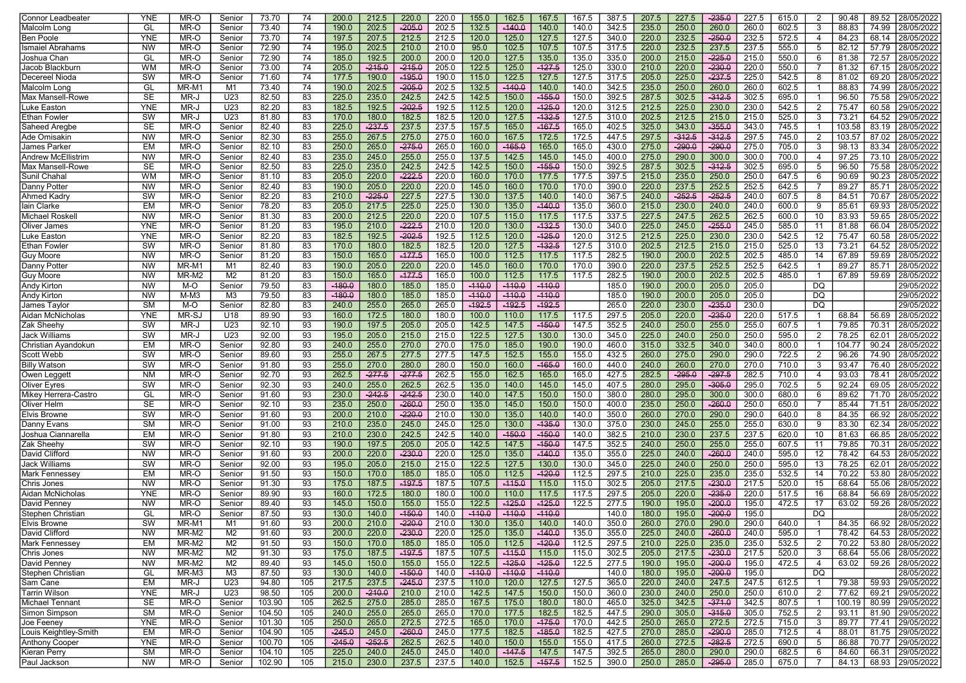| Connor Leadbeater          | YNE                    | MR-O   | Senior         | 73.70  | 74  | 200.0    | 212.5    | 220.0    | 220.0 | 155.0    | 162.5    | 167.5    | 167.5 | 387.5 | 207.5 | 227.5    | $-235.0$ | 227.5 | 615.0 | $\overline{2}$ | 90.48  | 89.52 | 28/05/2022                 |
|----------------------------|------------------------|--------|----------------|--------|-----|----------|----------|----------|-------|----------|----------|----------|-------|-------|-------|----------|----------|-------|-------|----------------|--------|-------|----------------------------|
| Malcolm Long               | GL                     | MR-O   | Senior         | 73.40  | 74  | 190.0    | 202.5    | $-205.0$ | 202.5 | 132.5    | $-140.0$ | 140.0    | 140.0 | 342.5 | 235.0 | 250.0    | 260.0    | 260.0 | 602.5 | 3              | 88.83  | 74.99 | 28/05/2022                 |
| Ben Poole                  | <b>YNE</b>             | MR-O   | Senior         | 73.70  | 74  | 197.5    | 207.5    | 212.5    | 212.5 | 120.0    | 125.0    | 127.5    | 127.5 | 340.0 | 220.0 | 232.5    | $-250.0$ | 232.5 | 572.5 | 4              | 84.23  | 68.14 | 28/05/2022                 |
| Ismaiel Abrahams           | <b>NW</b>              | MR-O   | Senior         | 72.90  | 74  | 195.0    | 202.5    | 210.0    | 210.0 | 95.0     | 102.5    | 107.5    | 107.5 | 317.5 | 220.0 | 232.5    | 237.5    | 237.5 | 555.0 | 5              | 82.12  | 57.79 | 28/05/2022                 |
| Joshua Chan                | GL                     | MR-O   | Senior         | 72.90  | 74  | 185.0    | 192.5    | 200.0    | 200.0 | 120.0    | 127.5    | 135.0    | 135.0 | 335.0 | 200.0 | 215.0    | $-225.0$ | 215.0 | 550.0 | 6              | 81.38  | 72.57 | 28/05/2022                 |
| Jacob Blackburn            | <b>WM</b>              | MR-O   | Senior         |        | 74  |          | $-215.0$ | $-215.0$ | 205.0 | 122.5    |          | $-127.5$ | 125.0 |       | 210.0 | 220.0    | $-230.0$ | 220.0 | 550.0 |                | 81.32  | 67.15 | 28/05/2022                 |
|                            | SW                     |        |                | 73.00  |     | 205.0    |          |          |       |          | 125.0    |          |       | 330.0 |       |          |          |       |       |                |        |       | 28/05/2022                 |
| Decereel Nioda             |                        | MR-O   | Senior         | 71.60  | 74  | 177.5    | 190.0    | $-195.0$ | 190.0 | 115.0    | 122.5    | 127.5    | 127.5 | 317.5 | 205.0 | 225.0    | $-237.5$ | 225.0 | 542.5 | 8              | 81.02  | 69.20 |                            |
| Malcolm Long               | GL                     | MR-M1  | M1             | 73.40  | 74  | 190.0    | 202.5    | $-205.0$ | 202.5 | 132.5    | $-440.0$ | 140.0    | 140.0 | 342.5 | 235.0 | 250.0    | 260.0    | 260.0 | 602.5 |                | 88.83  | 74.99 | 28/05/2022                 |
| Max Mansell-Rowe           | <b>SE</b>              | MR-J   | U23            | 82.50  | 83  | 225.0    | 235.0    | 242.5    | 242.5 | 142.5    | 150.0    | $-155.0$ | 150.0 | 392.5 | 287.5 | 302.5    | $-312.5$ | 302.5 | 695.0 |                | 96.50  | 75.58 | 29/05/2022                 |
| Luke Easton                | YNE                    | MR-J   | U23            | 82.20  | 83  | 182.5    | 192.5    | $-202.5$ | 192.5 | 112.5    | 120.0    | $-125.0$ | 120.0 | 312.5 | 212.5 | 225.0    | 230.0    | 230.0 | 542.5 | $\overline{2}$ | 75.47  | 60.58 | 29/05/2022                 |
| Ethan Fowler               | SW                     | MR-J   | U23            | 81.80  | 83  | 170.0    | 180.0    | 182.5    | 182.5 | 120.0    | 127.5    | $-132.5$ | 127.5 | 310.0 | 202.5 | 212.5    | 215.0    | 215.0 | 525.0 | -3             | 73.21  | 64.52 | 29/05/2022                 |
| Saheed Aregbe              | <b>SE</b>              | MR-O   | Senior         | 82.40  | 83  | 225.0    | $-237.5$ | 237.5    | 237.5 | 157.5    | 165.0    | $-167.5$ | 165.0 | 402.5 | 325.0 | 343.0    | $-355.0$ | 343.0 | 745.5 |                | 103.58 | 83.19 | 28/05/2022                 |
| Ade Omisakin               | <b>NW</b>              | MR-O   | Senior         | 82.30  | 83  | 255.0    | 267.5    | 275.0    | 275.0 | 160.0    | 167.5    | 172.5    | 172.5 | 447.5 | 297.5 | $-312.5$ | $-312.5$ | 297.5 | 745.0 | $\overline{2}$ | 103.57 | 87.02 | 28/05/2022                 |
| James Parker               | EM                     | MR-O   | Senior         | 82.10  | 83  | 250.0    | 265.0    | $-275.0$ | 265.0 | 160.0    | $-165.0$ | 165.0    | 165.0 | 430.0 | 275.0 | $-290.0$ | $-290.0$ | 275.0 | 705.0 | 3              | 98.13  | 83.34 | 28/05/2022                 |
| Andrew McEllistrim         | <b>NW</b>              | MR-O   | Senior         | 82.40  | 83  | 235.0    | 245.0    | 255.0    | 255.0 | 137.5    | 142.5    | 145.0    | 145.0 | 400.0 | 275.0 | 290.0    | 300.0    | 300.0 | 700.0 | $\overline{4}$ | 97.25  | 73.10 | 28/05/2022                 |
| Max Mansell-Rowe           | <b>SE</b>              | MR-O   | Senior         | 82.50  | 83  | 225.0    | 235.0    | 242.5    | 242.5 | 142.5    | 150.0    | $-155.0$ | 150.0 | 392.5 | 287.5 | 302.5    | $-312.5$ | 302.5 | 695.0 | 5              | 96.50  | 75.58 | 28/05/2022                 |
| Sunil Chahal               | <b>WM</b>              | MR-O   | Senior         | 81.10  | 83  | 205.0    | 220.0    | $-222.5$ | 220.0 | 160.0    | 170.0    | 177.5    | 177.5 | 397.5 | 215.0 | 235.0    | 250.0    | 250.0 | 647.5 | -6             | 90.69  | 90.23 | 28/05/2022                 |
| Danny Potter               | <b>NW</b>              | MR-O   | Senior         | 82.40  | 83  | 190.0    | 205.0    | 220.0    | 220.0 | 145.0    | 160.0    | 170.0    | 170.0 | 390.0 | 220.0 | 237.5    | 252.5    | 252.5 | 642.5 |                | 89.27  | 85.71 | 28/05/2022                 |
| Ahmed Kadry                | SW                     | MR-O   | Senior         | 82.20  | 83  | 210.0    | $-225.0$ | 227.5    | 227.5 | 130.0    | 137.5    | 140.0    | 140.0 | 367.5 | 240.0 | $-252.5$ | $-252.5$ | 240.0 | 607.5 | -8             | 84.51  | 70.67 | 28/05/2022                 |
| lain Clarke                | EM                     | MR-O   | Senior         | 78.20  | 83  | 205.0    | 217.5    | 225.0    | 225.0 | 130.0    | 135.0    | $-140.0$ | 135.0 | 360.0 | 215.0 | 230.0    | 240.0    | 240.0 | 600.0 | 9              | 85.61  | 69.93 | 28/05/2022                 |
| Michael Roskel             | <b>NW</b>              | MR-O   | Senior         | 81.30  | 83  | 200.0    | 212.5    | 220.0    | 220.0 | 107.5    | 115.0    | 117.5    | 117.5 | 337.5 | 227.5 | 247.5    | 262.5    | 262.5 | 600.0 | 10             | 83.93  | 59.65 | 28/05/2022                 |
|                            | YNE                    |        |                |        |     |          |          | $-222.5$ |       |          |          |          | 130.0 |       |       |          |          | 245.0 |       |                |        | 66.04 | 28/05/2022                 |
| Oliver James               |                        | MR-O   | Senior         | 81.20  | 83  | 195.0    | 210.0    |          | 210.0 | 120.0    | 130.0    | $-132.5$ |       | 340.0 | 225.0 | 245.0    | $-255.0$ |       | 585.0 | 11             | 81.88  |       |                            |
| Luke Easton                | <b>YNE</b>             | MR-O   | Senior         | 82.20  | 83  | 182.5    | 192.5    | $-202.5$ | 192.5 | 112.5    | 120.0    | $-125.0$ | 120.0 | 312.5 | 212.5 | 225.0    | 230.0    | 230.0 | 542.5 | 12             | 75.47  | 60.58 | 28/05/2022                 |
| Ethan Fowler               | <b>SW</b>              | MR-O   | Senior         | 81.80  | 83  | 170.0    | 180.0    | 182.5    | 182.5 | 120.0    | 127.5    | $-132.5$ | 127.5 | 310.0 | 202.5 | 212.5    | 215.0    | 215.0 | 525.0 | 13             | 73.21  | 64.52 | 28/05/2022                 |
| Guy Moore                  | NW                     | MR-O   | Senior         | 81.20  | 83  | 150.0    | 165.0    | $-177.5$ | 165.0 | 100.0    | 112.5    | 117.5    | 117.5 | 282.5 | 190.0 | 200.0    | 202.5    | 202.5 | 485.0 | 14             | 67.89  | 59.69 | 28/05/2022                 |
| Danny Potter               | <b>NW</b>              | MR-M1  | M1             | 82.40  | 83  | 190.0    | 205.0    | 220.0    | 220.0 | 145.0    | 160.0    | 170.0    | 170.0 | 390.0 | 220.0 | 237.5    | 252.5    | 252.5 | 642.5 |                | 89.27  | 85.71 | 28/05/2022                 |
| Guy Moore                  | <b>NW</b>              | MR-M2  | M <sub>2</sub> | 81.20  | 83  | 150.0    | 165.0    | $-177.5$ | 165.0 | 100.0    | 112.5    | 117.5    | 117.5 | 282.5 | 190.0 | 200.0    | 202.5    | 202.5 | 485.0 |                | 67.89  | 59.69 | 28/05/2022                 |
| Andy Kirton                | <b>NW</b>              | M-O    | Senior         | 79.50  | 83  | $-180.0$ | 180.0    | 185.0    | 185.0 | $-110.0$ | $-110.0$ | $-110.0$ |       | 185.0 | 190.0 | 200.0    | 205.0    | 205.0 |       | DQ             |        |       | 29/05/2022                 |
| Andy Kirton                | <b>NW</b>              | $M-M3$ | M3             | 79.50  | 83  | $-180.0$ | 180.0    | 185.0    | 185.0 | $-110.0$ | $-110.0$ | $-110.0$ |       | 185.0 | 190.0 | 200.0    | 205.0    | 205.0 |       | DQ             |        |       | 29/05/2022                 |
| James Taylor               | <b>SM</b>              | M-O    | Senior         | 82.80  | 83  | 240.0    | 255.0    | 265.0    | 265.0 | $-192.5$ | $-192.5$ | $-192.5$ |       | 265.0 | 220.0 | 230.0    | $-235.0$ | 230.0 |       | DQ             |        |       | 29/05/2022                 |
| Aidan McNicholas           | <b>YNE</b>             | MR-SJ  | U18            | 89.90  | 93  | 160.0    | 172.5    | 180.0    | 180.0 | 100.0    | 110.0    | 117.5    | 117.5 | 297.5 | 205.0 | 220.0    | $-235.0$ | 220.0 | 517.5 |                | 68.84  | 56.69 | 28/05/2022                 |
| Zak Sheehy                 | SW                     | MR-J   | U23            | 92.10  | 93  | 190.0    | 197.5    | 205.0    | 205.0 | 142.5    | 147.5    | $-150.0$ | 147.5 | 352.5 | 240.0 | 250.0    | 255.0    | 255.0 | 607.5 |                | 79.85  | 70.31 | 28/05/2022                 |
| Jack Williams              | SW                     | MR-J   | U23            | 92.00  | 93  | 195.0    | 205.0    | 215.0    | 215.0 | 122.5    | 127.5    | 130.0    | 130.0 | 345.0 | 225.0 | 240.0    | 250.0    | 250.0 | 595.0 | 2              | 78.25  | 62.01 | 28/05/2022                 |
| Christian Ayandokun        | EM                     | MR-O   | Senior         | 92.80  | 93  | 240.0    | 255.0    | 270.0    | 270.0 | 175.0    | 185.0    | 190.0    | 190.0 | 460.0 | 315.0 | 332.5    | 340.0    | 340.0 | 800.0 |                | 104.77 | 90.24 | 28/05/2022                 |
| Scott Webb                 | SW                     | MR-O   | Senior         | 89.60  | 93  | 255.0    | 267.5    | 277.5    | 277.5 | 147.5    | 152.5    | 155.0    | 155.0 | 432.5 | 260.0 | 275.0    | 290.0    | 290.0 | 722.5 | $\overline{2}$ | 96.26  | 74.90 | 28/05/2022                 |
| <b>Billy Watson</b>        | <b>SW</b>              | MR-O   | Senior         | 91.80  | 93  | 255.0    | 270.0    | 280.0    | 280.0 | 150.0    | 160.0    | $-165.0$ | 160.0 | 440.0 | 240.0 | 260.0    | 270.0    | 270.0 | 710.0 | -3             | 93.47  | 76.40 | 28/05/2022                 |
| Owen Legget                | <b>NM</b>              | MR-O   | Senior         | 92.70  | 93  | 262.5    | $-277.5$ | $-277.5$ | 262.5 | 155.0    | 162.5    | 165.0    | 165.0 | 427.5 | 282.5 | $-295.0$ | $-297.5$ | 282.5 | 710.0 | -4             | 93.03  | 78.41 | 28/05/2022                 |
| Oliver Eyres               | SW                     | MR-O   | Senior         | 92.30  | 93  | 240.0    | 255.0    | 262.5    | 262.5 | 135.0    | 140.0    | 145.0    | 145.0 | 407.5 | 280.0 | 295.0    | $-305.0$ | 295.0 | 702.5 | -5             | 92.24  | 69.05 | 28/05/2022                 |
| Mikey Herrera-Castro       | GL                     | MR-O   | Senior         | 91.60  | 93  | 230.0    | $-242.5$ | $-242.5$ | 230.0 | 140.0    | 147.5    | 150.0    | 150.0 | 380.0 | 280.0 | 295.0    | 300.0    | 300.0 | 680.0 | 6              | 89.62  | 71.70 | 28/05/2022                 |
|                            | SE                     | MR-O   | Senior         | 92.10  | 93  | 235.0    | 250.0    | $-260.0$ | 250.0 | 135.0    | 145.0    | 150.0    | 150.0 | 400.0 | 235.0 | 250.0    | $-260.0$ | 250.0 | 650.0 |                | 85.44  | 71.51 | 28/05/2022                 |
| Oliver Helm                |                        |        |                |        |     |          |          | $-220.0$ |       |          |          |          |       |       |       |          |          |       |       |                |        |       |                            |
| Elvis Browne               | SW                     | MR-O   | Senior         | 91.60  | 93  | 200.0    | 210.0    |          | 210.0 | 130.0    | 135.0    | 140.0    | 140.0 | 350.0 | 260.0 | 270.0    | 290.0    | 290.0 | 640.0 | 8              | 84.35  | 66.92 | 28/05/2022                 |
| Danny Evans                | <b>SM</b>              | MR-O   | Senior         | 91.00  | 93  | 210.0    | 235.0    | 245.0    | 245.0 | 125.0    | 130.0    | $-135.0$ | 130.0 | 375.0 | 230.0 | 245.0    | 255.0    | 255.0 | 630.0 | -9             | 83.30  | 62.34 | 28/05/2022                 |
| Joshua Ciannarella         | <b>EM</b>              | MR-O   | Senior         | 91.80  | 93  | 210.0    | 230.0    | 242.5    | 242.5 | 140.0    | $-150.0$ | $-150.0$ | 140.0 | 382.5 | 210.0 | 230.0    | 237.5    | 237.5 | 620.0 | 10             | 81.63  | 66.85 | 28/05/2022                 |
| Zak Sheehy                 | SW                     | MR-O   | Senior         | 92.10  | 93  | 190.0    | 197.5    | 205.0    | 205.0 | 142.5    | 147.5    | $-150.0$ | 147.5 | 352.5 | 240.0 | 250.0    | 255.0    | 255.0 | 607.5 | 11             | 79.85  | 70.31 | 28/05/2022                 |
| David Clifford             | <b>NW</b>              | MR-O   | Senior         | 91.60  | 93  | 200.0    | 220.0    | $-230.0$ | 220.0 | 125.0    | 135.0    | $-140.0$ | 135.0 | 355.0 | 225.0 | 240.0    | $-260.0$ | 240.0 | 595.0 | 12             | 78.42  | 64.53 | 28/05/2022                 |
| Jack Williams              | SW                     | MR-O   | Senior         | 92.00  | 93  | 195.0    | 205.0    | 215.0    | 215.0 | 122.5    | 127.5    | 130.0    | 130.0 | 345.0 | 225.0 | 240.0    | 250.0    | 250.0 | 595.0 | 13             | 78.25  | 62.01 | 28/05/2022                 |
| Mark Fennesse <sub>\</sub> | EM                     | MR-O   | Senior         | 91.50  | 93  | 150.0    | 170.0    | 185.0    | 185.0 | 105.0    | 112.5    | $-120.0$ | 112.5 | 297.5 | 210.0 | 225.0    | 235.0    | 235.0 | 532.5 | 14             | 70.22  | 53.80 | 28/05/2022                 |
| Chris Jones                | <b>NW</b>              | MR-O   | Senior         | 91.30  | 93  | 175.0    | 187.5    | $-197.5$ | 187.5 | 107.5    | $-115.0$ | 115.0    | 115.0 | 302.5 | 205.0 | 217.5    | $-230.0$ | 217.5 | 520.0 | 15             | 68.64  | 55.06 | 28/05/2022                 |
| Aidan McNicholas           | YNE                    | MR-O   | Senior         | 89.90  | 93  | 160.0    | 172.5    | 180.0    | 180.0 | 100.0    | 110.0    | 117.5    | 117.5 | 297.5 | 205.0 | 220.0    | $-235.0$ | 220.0 | 517.5 | 16             | 68.84  | 56.69 | 28/05/2022                 |
| David Penne                | <b>NW</b>              | MR-O   | Senior         | 89.40  | 93  | 145.0    | 150.0    | 155.0    | 155.0 | 122.5    | $-125.0$ | $-125.0$ | 122.5 | 277.5 | 190.0 | 195.0    | $-200.0$ | 195.0 | 472.5 | 17             | 63.02  | 59.26 | 28/05/2022                 |
| Stephen Christian          | GL                     | MR-O   | Senior         | 87.50  | 93  | 130.0    | 140.0    | $-150.0$ | 140.0 | $-110.0$ | $-110.0$ | $-110.0$ |       | 140.0 | 180.0 | 195.0    | $-200.0$ | 195.0 |       | DQ             |        |       | 28/05/2022                 |
| Elvis Browne               | $\overline{\text{SW}}$ | MR-M1  | M1             | 91.60  | 93  | 200.0    | 210.0    | $-220.0$ | 210.0 | 130.0    | 135.0    | 140.0    | 140.0 | 350.0 | 260.0 | 270.0    | 290.0    | 290.0 | 640.0 |                | 84.35  | 66.92 | 28/05/2022                 |
| David Clifford             | <b>NW</b>              | MR-M2  | M2             | 91.60  | 93  | 200.0    | 220.0    | $-230.0$ | 220.0 | 125.0    | 135.0    | $-140.0$ | 135.0 | 355.0 | 225.0 | 240.0    | $-260.0$ | 240.0 | 595.0 |                | 78.42  |       | 64.53 28/05/2022           |
| Mark Fennessey             | <b>EM</b>              | MR-M2  | M2             | 91.50  | 93  | 150.0    | 170.0    | 185.0    | 185.0 | 105.0    | 112.5    | $-120.0$ | 112.5 | 297.5 | 210.0 | 225.0    | 235.0    | 235.0 | 532.5 | 2              | 70.22  | 53.80 | 28/05/2022                 |
| Chris Jones                | <b>NW</b>              | MR-M2  | M2             | 91.30  | 93  | 175.0    | 187.5    | $-197.5$ | 187.5 | 107.5    | $-115.0$ | 115.0    | 115.0 | 302.5 | 205.0 | 217.5    | $-230.0$ | 217.5 | 520.0 | 3              | 68.64  | 55.06 | 28/05/2022                 |
| David Penney               | <b>NW</b>              | MR-M2  | M2             | 89.40  | 93  | 145.0    | 150.0    | 155.0    | 155.0 | 122.5    | $-125.0$ | $-125.0$ | 122.5 | 277.5 | 190.0 | 195.0    | $-200.0$ | 195.0 | 472.5 | $\overline{4}$ | 63.02  |       | 59.26 28/05/2022           |
| Stephen Christian          | GL                     | MR-M3  | M3             | 87.50  | 93  | 130.0    | 140.0    | $-150.0$ | 140.0 | $-110.0$ | $-110.0$ | $-110.0$ |       | 140.0 | 180.0 | 195.0    | $-200.0$ | 195.0 |       | DQ             |        |       | 28/05/2022                 |
| Sam Cane                   | EM                     | MR-J   | U23            | 94.80  | 105 | 217.5    | 237.5    | $-245.0$ | 237.5 | 110.0    | 120.0    | 127.5    | 127.5 | 365.0 | 220.0 | 240.0    | 247.5    | 247.5 | 612.5 |                | 79.38  | 59.93 | 29/05/2022                 |
|                            |                        |        |                |        |     |          |          |          |       |          |          |          |       |       |       |          |          |       |       |                |        |       | 29/05/2022                 |
| Tarrin Wilson              | <b>YNE</b>             | MR-J   | U23            | 98.50  | 105 | 200.0    | $-210.0$ | 210.0    | 210.0 | 142.5    | 147.5    | 150.0    | 150.0 | 360.0 | 230.0 | 240.0    | 250.0    | 250.0 | 610.0 | $\overline{2}$ | 77.62  | 69.21 |                            |
| Michael Tennant            | <b>SE</b>              | MR-O   | Senior         | 103.90 | 105 | 262.5    | 275.0    | 285.0    | 285.0 | 167.5    | 175.0    | 180.0    | 180.0 | 465.0 | 325.0 | 342.5    | $-371.0$ | 342.5 | 807.5 | -1             | 100.19 | 80.99 | 29/05/2022                 |
| Simon Simpson              | <b>SM</b>              | MR-O   | Senior         | 104.50 | 105 | 240.0    | 255.0    | 265.0    | 265.0 | 170.0    | 177.5    | 182.5    | 182.5 | 447.5 | 290.0 | 305.0    | $-315.0$ | 305.0 | 752.5 | $\overline{2}$ | 93.11  |       | 81.90 29/05/2022           |
| Joe Feeney                 | <b>YNE</b>             | MR-O   | Senior         | 101.30 | 105 | 250.0    | 265.0    | 272.5    | 272.5 | 165.0    | 170.0    | $-175.0$ | 170.0 | 442.5 | 250.0 | 265.0    | 272.5    | 272.5 | 715.0 | 3              | 89.77  |       | 77.41 29/05/2022           |
| Louis Keightley-Smith      | <b>EM</b>              | MR-O   | Senior         | 104.90 | 105 | $-245.0$ | 245.0    | $-260.0$ | 245.0 | 177.5    | 182.5    | $-185.0$ | 182.5 | 427.5 | 270.0 | 285.0    | $-290.0$ | 285.0 | 712.5 | $\overline{4}$ | 88.01  |       | 81.75 29/05/2022           |
| Anthony Cooper             | <b>YNE</b>             | MR-O   | Senior         | 100.70 | 105 | $-245.0$ | $-252.5$ | 262.5    | 262.5 | 140.0    | 150.0    | 155.0    | 155.0 | 417.5 | 260.0 | 272.5    | $-282.5$ | 272.5 | 690.0 | 5              | 86.88  |       | 70.77 29/05/2022           |
| Kieran Perry               | <b>SM</b>              | MR-O   | Senior         | 104.10 | 105 | 225.0    | 240.0    | 245.0    | 245.0 | 140.0    | $-147.5$ | 147.5    | 147.5 | 392.5 | 265.0 | 280.0    | 290.0    | 290.0 | 682.5 | 6              | 84.60  |       | 66.31 29/05/2022           |
| Paul Jackson               | <b>NW</b>              | MR-O   | Senior         | 102.90 | 105 | 215.0    | 230.0    | 237.5    | 237.5 | 140.0    | 152.5    | $-157.5$ | 152.5 | 390.0 | 250.0 | 285.0    | $-295.0$ | 285.0 | 675.0 | $\overline{7}$ |        |       | 84.13   68.93   29/05/2022 |